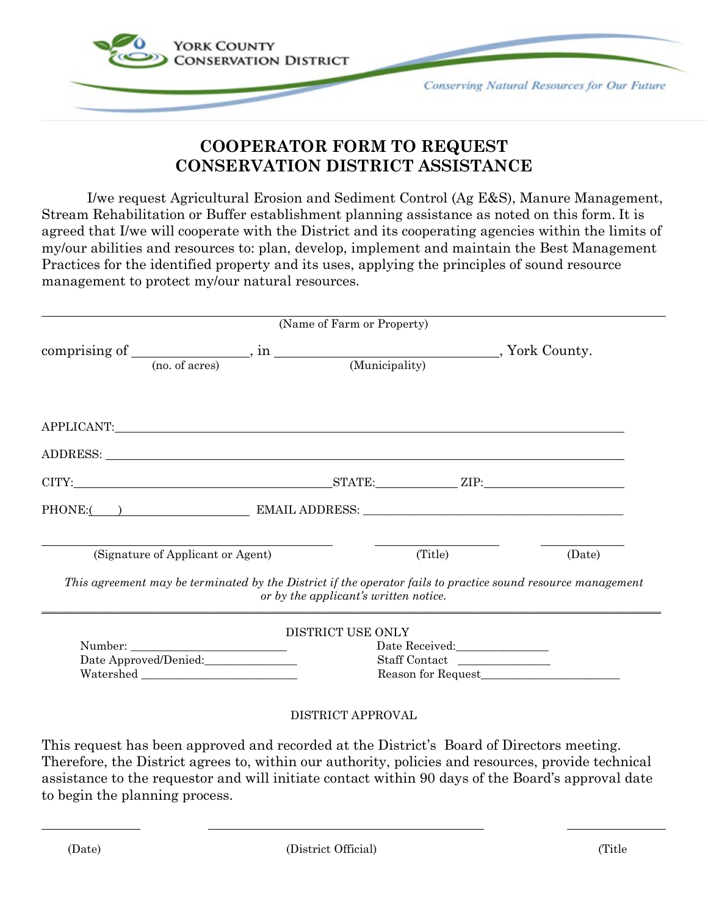

## **COOPERATOR FORM TO REQUEST CONSERVATION DISTRICT ASSISTANCE**

I/we request Agricultural Erosion and Sediment Control (Ag E&S), Manure Management, Stream Rehabilitation or Buffer establishment planning assistance as noted on this form. It is agreed that I/we will cooperate with the District and its cooperating agencies within the limits of my/our abilities and resources to: plan, develop, implement and maintain the Best Management Practices for the identified property and its uses, applying the principles of sound resource management to protect my/our natural resources.

|                                                                                                                                                                                                                                | (Name of Farm or Property)            |        |
|--------------------------------------------------------------------------------------------------------------------------------------------------------------------------------------------------------------------------------|---------------------------------------|--------|
|                                                                                                                                                                                                                                |                                       |        |
| comprising of $\frac{1}{\text{(no. of acres)}}$ , in $\frac{1}{\text{(Municipality)}}$ , York County.                                                                                                                          |                                       |        |
| APPLICANT:                                                                                                                                                                                                                     |                                       |        |
| ADDRESS: New York Contract the Contract of the Contract of the Contract of the Contract of the Contract of the Contract of the Contract of the Contract of the Contract of the Contract of the Contract of the Contract of the |                                       |        |
|                                                                                                                                                                                                                                |                                       |        |
|                                                                                                                                                                                                                                |                                       |        |
| (Signature of Applicant or Agent)                                                                                                                                                                                              | (Title)                               | (Date) |
| This agreement may be terminated by the District if the operator fails to practice sound resource management                                                                                                                   | or by the applicant's written notice. |        |
|                                                                                                                                                                                                                                | DISTRICT USE ONLY                     |        |
|                                                                                                                                                                                                                                | Date Received:__________________      |        |
| Date Approved/Denied:                                                                                                                                                                                                          | Staff Contact                         |        |
| Watershed                                                                                                                                                                                                                      | Reason for Request                    |        |

## DISTRICT APPROVAL

This request has been approved and recorded at the District's Board of Directors meeting. Therefore, the District agrees to, within our authority, policies and resources, provide technical assistance to the requestor and will initiate contact within 90 days of the Board's approval date to begin the planning process.